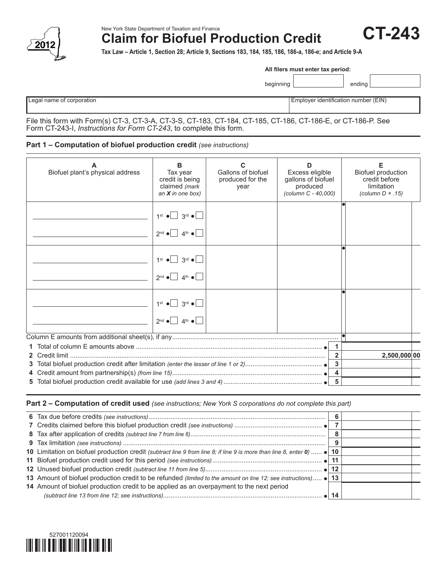

New York State Department of Taxation and Finance **Claim for Biofuel Production Credit** **CT-243**

**Tax Law – Article 1, Section 28; Article 9, Sections 183, 184, 185, 186, 186-a, 186-e; and Article 9-A**

| All filers must enter tax period: |  |  |  |  |
|-----------------------------------|--|--|--|--|
|-----------------------------------|--|--|--|--|

beginning ending

| $\sim$ |  |  |
|--------|--|--|

Legal name of corporation extensive proportion of the corporation of Employer identification number (EIN)

File this form with Form(s) CT-3, CT-3-A, CT-3-S, CT-183, CT-184, CT-185, CT-186, CT-186-E, or CT-186-P. See Form CT-243-I, *Instructions for Form CT-243*, to complete this form.

## **Part 1 – Computation of biofuel production credit** *(see instructions)*

| Biofuel plant's physical address | в<br>Tax year<br>credit is being<br>claimed (mark<br>an $X$ in one box)                                                   | Gallons of biofuel<br>produced for the<br>year | D<br>Excess eligible<br>gallons of biofuel<br>produced<br>(column C - 40,000) |                         | Е<br>Biofuel production<br>credit before<br>limitation<br>(column $D \times .15$ ) |
|----------------------------------|---------------------------------------------------------------------------------------------------------------------------|------------------------------------------------|-------------------------------------------------------------------------------|-------------------------|------------------------------------------------------------------------------------|
|                                  | $1st$ $\bullet$ 3 <sup>rd</sup> $\bullet$<br>$2^{nd} \bullet$ 4 <sup>th</sup> $\bullet$                                   |                                                |                                                                               |                         |                                                                                    |
|                                  | $1st$ $\bullet$ $3rd$ $\bullet$ $\bullet$<br>$2^{nd}$ $\bullet$ $4^{th}$ $\bullet$ $\Box$                                 |                                                |                                                                               |                         |                                                                                    |
|                                  | $1st$ $\bullet$ $\boxed{\phantom{0}}$ $3rd$ $\bullet$ $\boxed{\phantom{0}}$<br>$2^{nd} \bullet$ 4 <sup>th</sup> $\bullet$ |                                                |                                                                               |                         |                                                                                    |
|                                  |                                                                                                                           |                                                |                                                                               |                         |                                                                                    |
|                                  |                                                                                                                           |                                                |                                                                               | 1                       |                                                                                    |
|                                  |                                                                                                                           |                                                |                                                                               | $\overline{2}$          | 2,500,000 00                                                                       |
|                                  |                                                                                                                           |                                                |                                                                               | $\mathbf{3}$            |                                                                                    |
|                                  |                                                                                                                           |                                                |                                                                               | $\overline{\mathbf{4}}$ |                                                                                    |
|                                  |                                                                                                                           |                                                |                                                                               | $5\phantom{a}$          |                                                                                    |

**Part 2 – Computation of credit used** *(see instructions; New York S corporations do not complete this part)*

| 10 Limitation on biofuel production credit (subtract line 9 from line 8; if line 9 is more than line 8, enter 0)  • 10 |  |
|------------------------------------------------------------------------------------------------------------------------|--|
|                                                                                                                        |  |
|                                                                                                                        |  |
| 13 Amount of biofuel production credit to be refunded (limited to the amount on line 12; see instructions) • 13        |  |
| 14 Amount of biofuel production credit to be applied as an overpayment to the next period                              |  |
|                                                                                                                        |  |